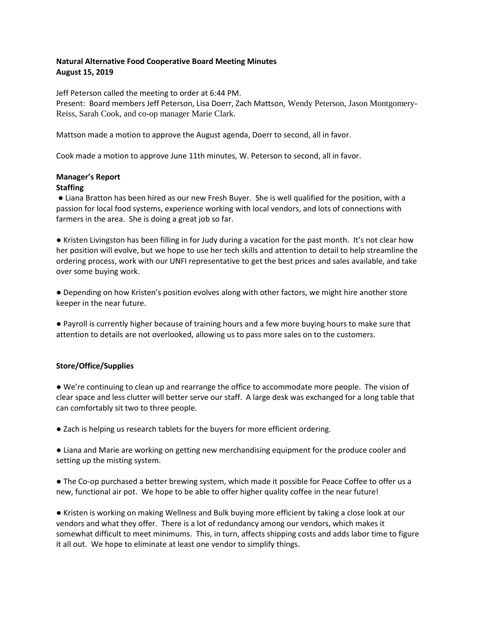## **Natural Alternative Food Cooperative Board Meeting Minutes August 15, 2019**

Jeff Peterson called the meeting to order at 6:44 PM.

Present: Board members Jeff Peterson, Lisa Doerr, Zach Mattson, Wendy Peterson, Jason Montgomery-Reiss, Sarah Cook, and co-op manager Marie Clark.

Mattson made a motion to approve the August agenda, Doerr to second, all in favor.

Cook made a motion to approve June 11th minutes, W. Peterson to second, all in favor.

# **Manager's Report**

## **Staffing**

● Liana Bratton has been hired as our new Fresh Buyer. She is well qualified for the position, with a passion for local food systems, experience working with local vendors, and lots of connections with farmers in the area. She is doing a great job so far.

● Kristen Livingston has been filling in for Judy during a vacation for the past month. It's not clear how her position will evolve, but we hope to use her tech skills and attention to detail to help streamline the ordering process, work with our UNFI representative to get the best prices and sales available, and take over some buying work.

● Depending on how Kristen's position evolves along with other factors, we might hire another store keeper in the near future.

● Payroll is currently higher because of training hours and a few more buying hours to make sure that attention to details are not overlooked, allowing us to pass more sales on to the customers.

## **Store/Office/Supplies**

● We're continuing to clean up and rearrange the office to accommodate more people. The vision of clear space and less clutter will better serve our staff. A large desk was exchanged for a long table that can comfortably sit two to three people.

● Zach is helping us research tablets for the buyers for more efficient ordering.

● Liana and Marie are working on getting new merchandising equipment for the produce cooler and setting up the misting system.

● The Co-op purchased a better brewing system, which made it possible for Peace Coffee to offer us a new, functional air pot. We hope to be able to offer higher quality coffee in the near future!

● Kristen is working on making Wellness and Bulk buying more efficient by taking a close look at our vendors and what they offer. There is a lot of redundancy among our vendors, which makes it somewhat difficult to meet minimums. This, in turn, affects shipping costs and adds labor time to figure it all out. We hope to eliminate at least one vendor to simplify things.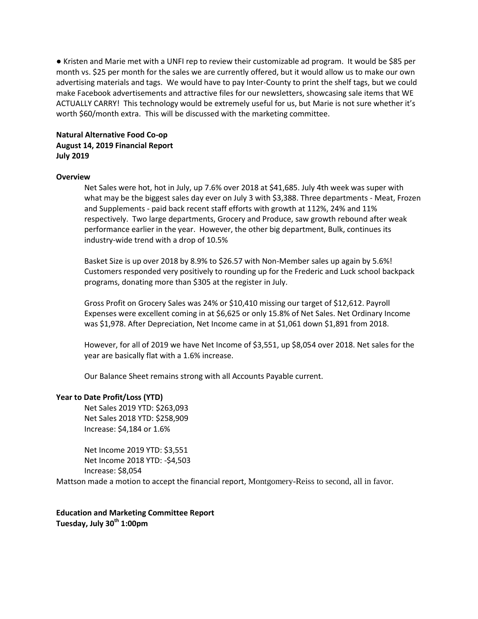● Kristen and Marie met with a UNFI rep to review their customizable ad program. It would be \$85 per month vs. \$25 per month for the sales we are currently offered, but it would allow us to make our own advertising materials and tags. We would have to pay Inter-County to print the shelf tags, but we could make Facebook advertisements and attractive files for our newsletters, showcasing sale items that WE ACTUALLY CARRY! This technology would be extremely useful for us, but Marie is not sure whether it's worth \$60/month extra. This will be discussed with the marketing committee.

## **Natural Alternative Food Co-op August 14, 2019 Financial Report July 2019**

### **Overview**

Net Sales were hot, hot in July, up 7.6% over 2018 at \$41,685. July 4th week was super with what may be the biggest sales day ever on July 3 with \$3,388. Three departments - Meat, Frozen and Supplements - paid back recent staff efforts with growth at 112%, 24% and 11% respectively. Two large departments, Grocery and Produce, saw growth rebound after weak performance earlier in the year. However, the other big department, Bulk, continues its industry-wide trend with a drop of 10.5%

Basket Size is up over 2018 by 8.9% to \$26.57 with Non-Member sales up again by 5.6%! Customers responded very positively to rounding up for the Frederic and Luck school backpack programs, donating more than \$305 at the register in July.

Gross Profit on Grocery Sales was 24% or \$10,410 missing our target of \$12,612. Payroll Expenses were excellent coming in at \$6,625 or only 15.8% of Net Sales. Net Ordinary Income was \$1,978. After Depreciation, Net Income came in at \$1,061 down \$1,891 from 2018.

However, for all of 2019 we have Net Income of \$3,551, up \$8,054 over 2018. Net sales for the year are basically flat with a 1.6% increase.

Our Balance Sheet remains strong with all Accounts Payable current.

#### **Year to Date Profit/Loss (YTD)**

Net Sales 2019 YTD: \$263,093 Net Sales 2018 YTD: \$258,909 Increase: \$4,184 or 1.6%

Net Income 2019 YTD: \$3,551 Net Income 2018 YTD: -\$4,503 Increase: \$8,054

Mattson made a motion to accept the financial report, Montgomery-Reiss to second, all in favor.

**Education and Marketing Committee Report Tuesday, July 30th 1:00pm**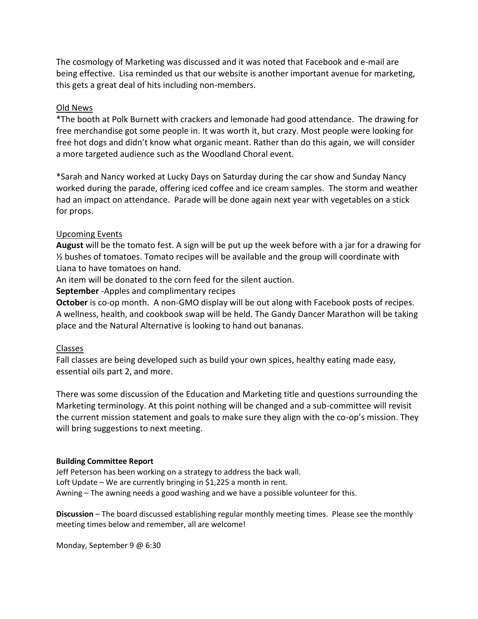The cosmology of Marketing was discussed and it was noted that Facebook and e-mail are being effective. Lisa reminded us that our website is another important avenue for marketing, this gets a great deal of hits including non-members.

# Old News

\*The booth at Polk Burnett with crackers and lemonade had good attendance. The drawing for free merchandise got some people in. It was worth it, but crazy. Most people were looking for free hot dogs and didn't know what organic meant. Rather than do this again, we will consider a more targeted audience such as the Woodland Choral event.

\*Sarah and Nancy worked at Lucky Days on Saturday during the car show and Sunday Nancy worked during the parade, offering iced coffee and ice cream samples. The storm and weather had an impact on attendance. Parade will be done again next year with vegetables on a stick for props.

## Upcoming Events

**August** will be the tomato fest. A sign will be put up the week before with a jar for a drawing for  $\frac{1}{2}$  bushes of tomatoes. Tomato recipes will be available and the group will coordinate with Liana to have tomatoes on hand.

An item will be donated to the corn feed for the silent auction.

**September** -Apples and complimentary recipes

**October** is co-op month. A non-GMO display will be out along with Facebook posts of recipes. A wellness, health, and cookbook swap will be held. The Gandy Dancer Marathon will be taking place and the Natural Alternative is looking to hand out bananas.

## Classes

Fall classes are being developed such as build your own spices, healthy eating made easy, essential oils part 2, and more.

There was some discussion of the Education and Marketing title and questions surrounding the Marketing terminology. At this point nothing will be changed and a sub-committee will revisit the current mission statement and goals to make sure they align with the co-op's mission. They will bring suggestions to next meeting.

## **Building Committee Report**

Jeff Peterson has been working on a strategy to address the back wall. Loft Update – We are currently bringing in \$1,225 a month in rent. Awning – The awning needs a good washing and we have a possible volunteer for this.

**Discussion** – The board discussed establishing regular monthly meeting times. Please see the monthly meeting times below and remember, all are welcome!

Monday, September 9 @ 6:30